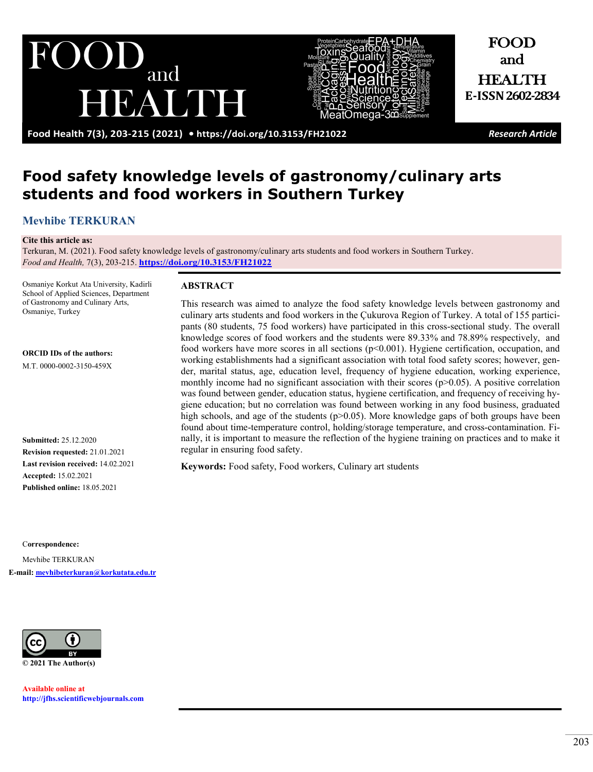and EAUDE



FOOD and HEALTH **E-ISSN 2602-2834**

**Food Health 7(3), 203-215 (2021) •<https://doi.org/10.3153/FH21022>** *Research Article*

# **Food safety knowledge levels of gastronomy/culinary arts students and food workers in Southern Turkey**

# **[Mevhibe TERKURAN](https://orcid.org/0000-0002-3150-459X)**

#### **Cite this article as:**

Terkuran, M. (2021). Food safety knowledge levels of gastronomy/culinary arts students and food workers in Southern Turkey. *Food and Health,* 7(3), 203-215. **<https://doi.org/10.3153/FH21022>**

Osmaniye Korkut Ata University, Kadirli School of Applied Sciences, Department of Gastronomy and Culinary Arts, Osmaniye, Turkey

**ORCID IDs of the authors:**

M.T. 0000-0002-3150-459X

**Submitted:** 25.12.2020 **Revision requested:** 21.01.2021 **Last revision received:** 14.02.2021 **Accepted:** 15.02.2021 **Published online:** 18.05.2021

C**orrespondence:**  Mevhibe TERKURAN **E-mail[: mevhibeterkuran@korkutata.edu.tr](mailto:mevhibeterkuran@korkutata.edu.tr)**



**Available online at [http://jfhs.scientificwebjournals.com](http://jfhs.scientificwebjournals.com/)**

### **ABSTRACT**

This research was aimed to analyze the food safety knowledge levels between gastronomy and culinary arts students and food workers in the Çukurova Region of Turkey. A total of 155 participants (80 students, 75 food workers) have participated in this cross-sectional study. The overall knowledge scores of food workers and the students were 89.33% and 78.89% respectively, and food workers have more scores in all sections  $(p< 0.001)$ . Hygiene certification, occupation, and working establishments had a significant association with total food safety scores; however, gender, marital status, age, education level, frequency of hygiene education, working experience, monthly income had no significant association with their scores  $(p>0.05)$ . A positive correlation was found between gender, education status, hygiene certification, and frequency of receiving hygiene education; but no correlation was found between working in any food business, graduated high schools, and age of the students (p>0.05). More knowledge gaps of both groups have been found about time-temperature control, holding/storage temperature, and cross-contamination. Finally, it is important to measure the reflection of the hygiene training on practices and to make it regular in ensuring food safety.

**Keywords:** Food safety, Food workers, Culinary art students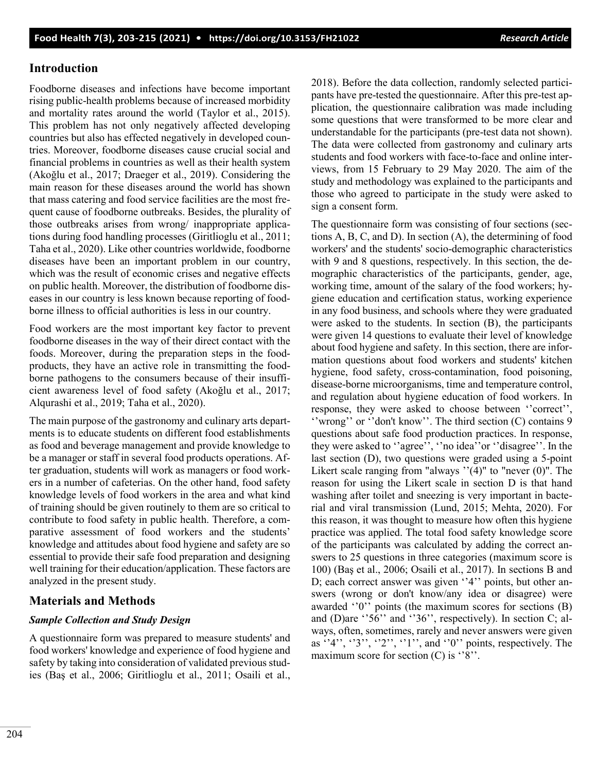# **Introduction**

Foodborne diseases and infections have become important rising public-health problems because of increased morbidity and mortality rates around the world (Taylor et al., 2015). This problem has not only negatively affected developing countries but also has effected negatively in developed countries. Moreover, foodborne diseases cause crucial social and financial problems in countries as well as their health system (Akoğlu et al., 2017; Draeger et al., 2019). Considering the main reason for these diseases around the world has shown that mass catering and food service facilities are the most frequent cause of foodborne outbreaks. Besides, the plurality of those outbreaks arises from wrong/ inappropriate applications during food handling processes (Giritlioglu et al., 2011; Taha et al., 2020). Like other countries worldwide, foodborne diseases have been an important problem in our country, which was the result of economic crises and negative effects on public health. Moreover, the distribution of foodborne diseases in our country is less known because reporting of foodborne illness to official authorities is less in our country.

Food workers are the most important key factor to prevent foodborne diseases in the way of their direct contact with the foods. Moreover, during the preparation steps in the foodproducts, they have an active role in transmitting the foodborne pathogens to the consumers because of their insufficient awareness level of food safety (Akoğlu et al., 2017; Alqurashi et al., 2019; Taha et al., 2020).

The main purpose of the gastronomy and culinary arts departments is to educate students on different food establishments as food and beverage management and provide knowledge to be a manager or staff in several food products operations. After graduation, students will work as managers or food workers in a number of cafeterias. On the other hand, food safety knowledge levels of food workers in the area and what kind of training should be given routinely to them are so critical to contribute to food safety in public health. Therefore, a comparative assessment of food workers and the students' knowledge and attitudes about food hygiene and safety are so essential to provide their safe food preparation and designing well training for their education/application. These factors are analyzed in the present study.

# **Materials and Methods**

# *Sample Collection and Study Design*

A questionnaire form was prepared to measure students' and food workers' knowledge and experience of food hygiene and safety by taking into consideration of validated previous studies (Baş et al., 2006; Giritlioglu et al., 2011; Osaili et al., 2018). Before the data collection, randomly selected participants have pre-tested the questionnaire. After this pre-test application, the questionnaire calibration was made including some questions that were transformed to be more clear and understandable for the participants (pre-test data not shown). The data were collected from gastronomy and culinary arts students and food workers with face-to-face and online interviews, from 15 February to 29 May 2020. The aim of the study and methodology was explained to the participants and those who agreed to participate in the study were asked to sign a consent form.

The questionnaire form was consisting of four sections (sections A, B, C, and D). In section (A), the determining of food workers' and the students' socio-demographic characteristics with 9 and 8 questions, respectively. In this section, the demographic characteristics of the participants, gender, age, working time, amount of the salary of the food workers; hygiene education and certification status, working experience in any food business, and schools where they were graduated were asked to the students. In section (B), the participants were given 14 questions to evaluate their level of knowledge about food hygiene and safety. In this section, there are information questions about food workers and students' kitchen hygiene, food safety, cross-contamination, food poisoning, disease-borne microorganisms, time and temperature control, and regulation about hygiene education of food workers. In response, they were asked to choose between ''correct'', ''wrong'' or ''don't know''. The third section (C) contains 9 questions about safe food production practices. In response, they were asked to ''agree'', ''no idea''or ''disagree''. In the last section (D), two questions were graded using a 5-point Likert scale ranging from "always  $''(4)$ " to "never  $(0)$ ". The reason for using the Likert scale in section D is that hand washing after toilet and sneezing is very important in bacterial and viral transmission (Lund, 2015; Mehta, 2020). For this reason, it was thought to measure how often this hygiene practice was applied. The total food safety knowledge score of the participants was calculated by adding the correct answers to 25 questions in three categories (maximum score is 100) (Baş et al., 2006; Osaili et al., 2017). In sections B and D; each correct answer was given ''4'' points, but other answers (wrong or don't know/any idea or disagree) were awarded ''0'' points (the maximum scores for sections (B) and (D)are ''56'' and ''36'', respectively). In section C; always, often, sometimes, rarely and never answers were given as ''4'', ''3'', ''2'', ''1'', and ''0'' points, respectively. The maximum score for section  $(C)$  is "8".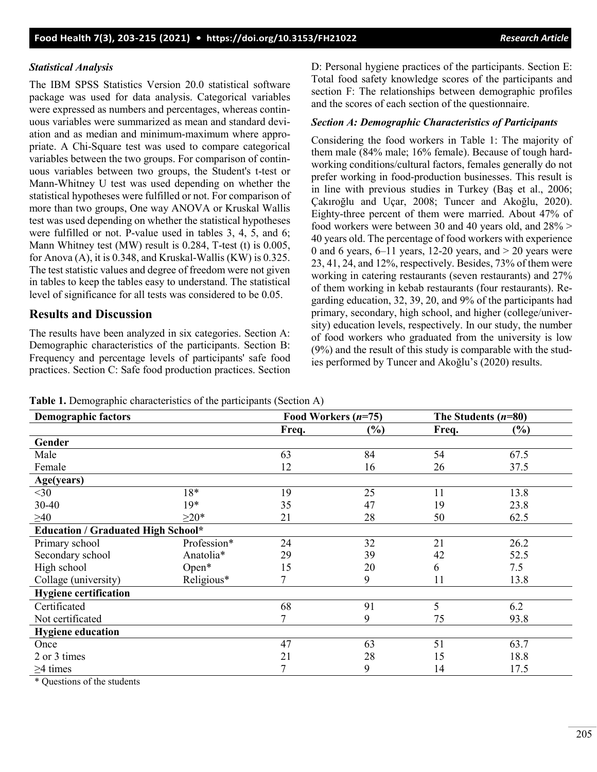# *Statistical Analysis*

The IBM SPSS Statistics Version 20.0 statistical software package was used for data analysis. Categorical variables were expressed as numbers and percentages, whereas continuous variables were summarized as mean and standard deviation and as median and minimum-maximum where appropriate. A Chi-Square test was used to compare categorical variables between the two groups. For comparison of continuous variables between two groups, the Student's t-test or Mann-Whitney U test was used depending on whether the statistical hypotheses were fulfilled or not. For comparison of more than two groups, One way ANOVA or Kruskal Wallis test was used depending on whether the statistical hypotheses were fulfilled or not. P-value used in tables 3, 4, 5, and 6; Mann Whitney test (MW) result is 0.284, T-test (t) is 0.005, for Anova (A), it is 0.348, and Kruskal-Wallis (KW) is 0.325. The test statistic values and degree of freedom were not given in tables to keep the tables easy to understand. The statistical level of significance for all tests was considered to be 0.05.

# **Results and Discussion**

The results have been analyzed in six categories. Section A: Demographic characteristics of the participants. Section B: Frequency and percentage levels of participants' safe food practices. Section C: Safe food production practices. Section D: Personal hygiene practices of the participants. Section E: Total food safety knowledge scores of the participants and section F: The relationships between demographic profiles and the scores of each section of the questionnaire.

# *Section A: Demographic Characteristics of Participants*

Considering the food workers in Table 1: The majority of them male (84% male; 16% female). Because of tough hardworking conditions/cultural factors, females generally do not prefer working in food-production businesses. This result is in line with previous studies in Turkey (Baş et al., 2006; Çakıroğlu and Uçar, 2008; Tuncer and Akoğlu, 2020). Eighty-three percent of them were married. About 47% of food workers were between 30 and 40 years old, and 28% > 40 years old. The percentage of food workers with experience 0 and 6 years,  $6-11$  years,  $12-20$  years, and  $> 20$  years were 23, 41, 24, and 12%, respectively. Besides, 73% of them were working in catering restaurants (seven restaurants) and 27% of them working in kebab restaurants (four restaurants). Regarding education, 32, 39, 20, and 9% of the participants had primary, secondary, high school, and higher (college/university) education levels, respectively. In our study, the number of food workers who graduated from the university is low (9%) and the result of this study is comparable with the studies performed by Tuncer and Akoğlu's (2020) results.

|  |  |  | <b>Table 1.</b> Demographic characteristics of the participants (Section A) |  |
|--|--|--|-----------------------------------------------------------------------------|--|
|--|--|--|-----------------------------------------------------------------------------|--|

| <b>Demographic factors</b>                |             | Food Workers $(n=75)$ |               | The Students $(n=80)$ |        |
|-------------------------------------------|-------------|-----------------------|---------------|-----------------------|--------|
|                                           |             | Freq.                 | $\frac{6}{6}$ | Freq.                 | $(\%)$ |
| Gender                                    |             |                       |               |                       |        |
| Male                                      |             | 63                    | 84            | 54                    | 67.5   |
| Female                                    |             | 12                    | 16            | 26                    | 37.5   |
| Age(years)                                |             |                       |               |                       |        |
| $30$                                      | 18*         | 19                    | 25            | 11                    | 13.8   |
| 30-40                                     | $19*$       | 35                    | 47            | 19                    | 23.8   |
| $\geq 40$                                 | $\geq$ 20*  | 21                    | 28            | 50                    | 62.5   |
| <b>Education / Graduated High School*</b> |             |                       |               |                       |        |
| Primary school                            | Profession* | 24                    | 32            | 21                    | 26.2   |
| Secondary school                          | Anatolia*   | 29                    | 39            | 42                    | 52.5   |
| High school                               | $Open*$     | 15                    | 20            | 6                     | 7.5    |
| Collage (university)                      | Religious*  |                       | 9             | 11                    | 13.8   |
| <b>Hygiene certification</b>              |             |                       |               |                       |        |
| Certificated                              |             | 68                    | 91            | 5                     | 6.2    |
| Not certificated                          |             |                       | 9             | 75                    | 93.8   |
| <b>Hygiene education</b>                  |             |                       |               |                       |        |
| Once                                      |             | 47                    | 63            | 51                    | 63.7   |
| 2 or 3 times                              |             | 21                    | 28            | 15                    | 18.8   |
| $\geq$ 4 times                            |             |                       | 9             | 14                    | 17.5   |

\* Questions of the students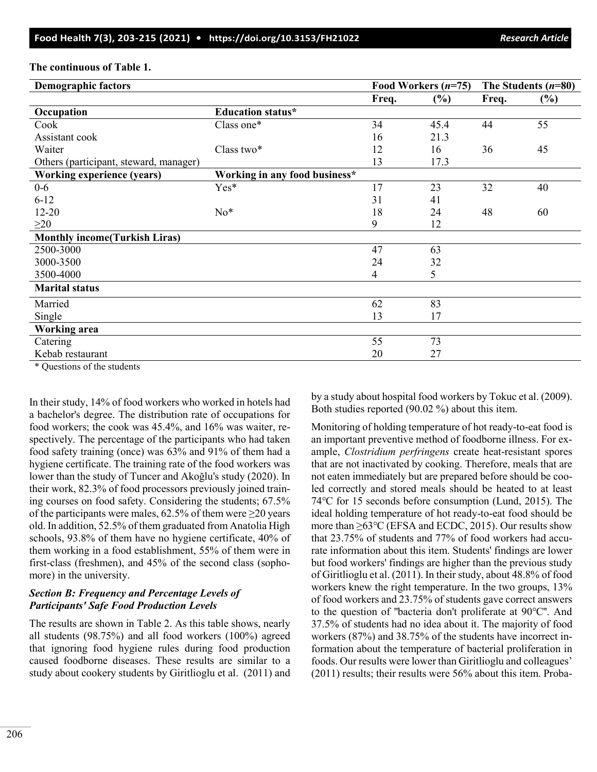| <b>Demographic factors</b>             |                               |       | Food Workers $(n=75)$ |       | The Students $(n=80)$ |  |
|----------------------------------------|-------------------------------|-------|-----------------------|-------|-----------------------|--|
|                                        |                               | Freq. | (%)                   | Freq. | $(\%)$                |  |
| Occupation                             | <b>Education status*</b>      |       |                       |       |                       |  |
| Cook                                   | Class one*                    | 34    | 45.4                  | 44    | 55                    |  |
| Assistant cook                         |                               | 16    | 21.3                  |       |                       |  |
| Waiter                                 | Class two*                    | 12    | 16                    | 36    | 45                    |  |
| Others (participant, steward, manager) |                               | 13    | 17.3                  |       |                       |  |
| <b>Working experience (years)</b>      | Working in any food business* |       |                       |       |                       |  |
| $0-6$                                  | Yes*                          | 17    | 23                    | 32    | 40                    |  |
| $6 - 12$                               |                               | 31    | 41                    |       |                       |  |
| $12 - 20$                              | $No*$                         | 18    | 24                    | 48    | 60                    |  |
| $\geq$ 20                              |                               | 9     | 12                    |       |                       |  |
| <b>Monthly income(Turkish Liras)</b>   |                               |       |                       |       |                       |  |
| 2500-3000                              |                               | 47    | 63                    |       |                       |  |
| 3000-3500                              |                               | 24    | 32                    |       |                       |  |
| 3500-4000                              |                               | 4     | 5                     |       |                       |  |
| <b>Marital status</b>                  |                               |       |                       |       |                       |  |
| Married                                |                               | 62    | 83                    |       |                       |  |
| Single                                 |                               | 13    | 17                    |       |                       |  |
| <b>Working area</b>                    |                               |       |                       |       |                       |  |
| Catering                               |                               | 55    | 73                    |       |                       |  |
| Kebab restaurant                       |                               | 20    | 27                    |       |                       |  |
|                                        |                               |       |                       |       |                       |  |

### **The continuous of Table 1.**

\* Questions of the students

In their study, 14% of food workers who worked in hotels had a bachelor's degree. The distribution rate of occupations for food workers; the cook was 45.4%, and 16% was waiter, respectively. The percentage of the participants who had taken food safety training (once) was 63% and 91% of them had a hygiene certificate. The training rate of the food workers was lower than the study of Tuncer and Akoğlu's study (2020). In their work, 82.3% of food processors previously joined training courses on food safety. Considering the students; 67.5% of the participants were males,  $62.5\%$  of them were  $\geq 20$  years old. In addition, 52.5% of them graduated from Anatolia High schools, 93.8% of them have no hygiene certificate, 40% of them working in a food establishment, 55% of them were in first-class (freshmen), and 45% of the second class (sophomore) in the university.

# *Section B: Frequency and Percentage Levels of Participants' Safe Food Production Levels*

The results are shown in Table 2. As this table shows, nearly all students (98.75%) and all food workers (100%) agreed that ignoring food hygiene rules during food production caused foodborne diseases. These results are similar to a study about cookery students by Giritlioglu et al. (2011) and by a study about hospital food workers by Tokuc et al. (2009). Both studies reported (90.02 %) about this item.

Monitoring of holding temperature of hot ready-to-eat food is an important preventive method of foodborne illness. For example, *Clostridium perfringens* create heat-resistant spores that are not inactivated by cooking. Therefore, meals that are not eaten immediately but are prepared before should be cooled correctly and stored meals should be heated to at least 74℃ for 15 seconds before consumption (Lund, 2015). The ideal holding temperature of hot ready-to-eat food should be more than ≥63℃ (EFSA and ECDC, 2015). Our results show that 23.75% of students and 77% of food workers had accurate information about this item. Students' findings are lower but food workers' findings are higher than the previous study of Giritlioglu et al. (2011). In their study, about 48.8% of food workers knew the right temperature. In the two groups, 13% of food workers and 23.75% of students gave correct answers to the question of ''bacteria don't proliferate at 90℃''. And 37.5% of students had no idea about it. The majority of food workers (87%) and 38.75% of the students have incorrect information about the temperature of bacterial proliferation in foods. Our results were lower than Giritlioglu and colleagues' (2011) results; their results were 56% about this item. Proba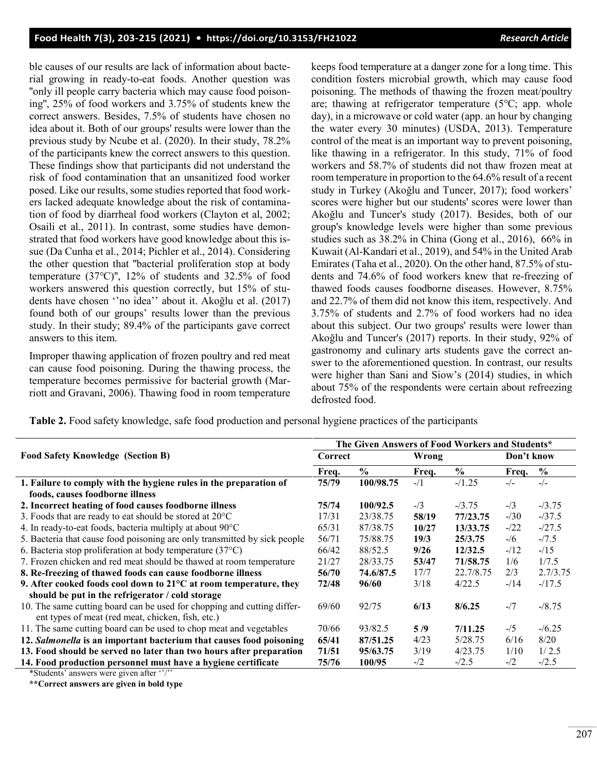ble causes of our results are lack of information about bacterial growing in ready-to-eat foods. Another question was ''only ill people carry bacteria which may cause food poisoning'', 25% of food workers and 3.75% of students knew the correct answers. Besides, 7.5% of students have chosen no idea about it. Both of our groups' results were lower than the previous study by Ncube et al. (2020). In their study, 78.2% of the participants knew the correct answers to this question. These findings show that participants did not understand the risk of food contamination that an unsanitized food worker posed. Like our results, some studies reported that food workers lacked adequate knowledge about the risk of contamination of food by diarrheal food workers (Clayton et al, 2002; Osaili et al., 2011). In contrast, some studies have demonstrated that food workers have good knowledge about this issue (Da Cunha et al., 2014; Pichler et al., 2014). Considering the other question that ''bacterial proliferation stop at body temperature (37℃)'', 12% of students and 32.5% of food workers answered this question correctly, but 15% of students have chosen ''no idea'' about it. Akoğlu et al. (2017) found both of our groups' results lower than the previous study. In their study; 89.4% of the participants gave correct answers to this item.

Improper thawing application of frozen poultry and red meat can cause food poisoning. During the thawing process, the temperature becomes permissive for bacterial growth (Marriott and Gravani, 2006). Thawing food in room temperature keeps food temperature at a danger zone for a long time. This condition fosters microbial growth, which may cause food poisoning. The methods of thawing the frozen meat/poultry are; thawing at refrigerator temperature (5℃; app. whole day), in a microwave or cold water (app. an hour by changing the water every 30 minutes) (USDA, 2013). Temperature control of the meat is an important way to prevent poisoning, like thawing in a refrigerator. In this study, 71% of food workers and 58.7% of students did not thaw frozen meat at room temperature in proportion to the 64.6% result of a recent study in Turkey (Akoğlu and Tuncer, 2017); food workers' scores were higher but our students' scores were lower than Akoğlu and Tuncer's study (2017). Besides, both of our group's knowledge levels were higher than some previous studies such as 38.2% in China (Gong et al., 2016), 66% in Kuwait (Al-Kandari et al., 2019), and 54% in the United Arab Emirates (Taha et al., 2020). On the other hand, 87.5% of students and 74.6% of food workers knew that re-freezing of thawed foods causes foodborne diseases. However, 8.75% and 22.7% of them did not know this item, respectively. And 3.75% of students and 2.7% of food workers had no idea about this subject. Our two groups' results were lower than Akoğlu and Tuncer's (2017) reports. In their study, 92% of gastronomy and culinary arts students gave the correct answer to the aforementioned question. In contrast, our results were higher than Sani and Siow's (2014) studies, in which about 75% of the respondents were certain about refreezing defrosted food.

**Table 2.** Food safety knowledge, safe food production and personal hygiene practices of the participants

|                                                                             | The Given Answers of Food Workers and Students* |               |        |               |            |               |  |  |
|-----------------------------------------------------------------------------|-------------------------------------------------|---------------|--------|---------------|------------|---------------|--|--|
| <b>Food Safety Knowledge (Section B)</b>                                    | Correct                                         |               | Wrong  |               | Don't know |               |  |  |
|                                                                             | Freq.                                           | $\frac{0}{0}$ | Freq.  | $\frac{6}{6}$ | Freq.      | $\frac{6}{9}$ |  |  |
| 1. Failure to comply with the hygiene rules in the preparation of           | 75/79                                           | 100/98.75     | $-1/1$ | $-1.25$       | $-/-$      | $-/-$         |  |  |
| foods, causes foodborne illness                                             |                                                 |               |        |               |            |               |  |  |
| 2. Incorrect heating of food causes foodborne illness                       | 75/74                                           | 100/92.5      | $-1/3$ | $-3.75$       | $-1/3$     | $-13.75$      |  |  |
| 3. Foods that are ready to eat should be stored at $20^{\circ}$ C           | 17/31                                           | 23/38.75      | 58/19  | 77/23.75      | $-130$     | $-137.5$      |  |  |
| 4. In ready-to-eat foods, bacteria multiply at about 90°C                   | 65/31                                           | 87/38.75      | 10/27  | 13/33.75      | $-122$     | $-27.5$       |  |  |
| 5. Bacteria that cause food poisoning are only transmitted by sick people   | 56/71                                           | 75/88.75      | 19/3   | 25/3.75       | $-16$      | $-7.5$        |  |  |
| 6. Bacteria stop proliferation at body temperature $(37^{\circ}C)$          | 66/42                                           | 88/52.5       | 9/26   | 12/32.5       | $-12$      | $-115$        |  |  |
| 7. Frozen chicken and red meat should be thawed at room temperature         | 21/27                                           | 28/33.75      | 53/47  | 71/58.75      | 1/6        | 1/7.5         |  |  |
| 8. Re-freezing of thawed foods can cause foodborne illness                  | 56/70                                           | 74.6/87.5     | 17/7   | 22.7/8.75     | 2/3        | 2.7/3.75      |  |  |
| 9. After cooked foods cool down to $21^{\circ}$ C at room temperature, they | 72/48                                           | 96/60         | 3/18   | 4/22.5        | $-14$      | $-17.5$       |  |  |
| should be put in the refrigerator / cold storage                            |                                                 |               |        |               |            |               |  |  |
| 10. The same cutting board can be used for chopping and cutting differ-     | 69/60                                           | 92/75         | 6/13   | 8/6.25        | $-17$      | $-18.75$      |  |  |
| ent types of meat (red meat, chicken, fish, etc.)                           |                                                 |               |        |               |            |               |  |  |
| 11. The same cutting board can be used to chop meat and vegetables          | 70/66                                           | 93/82.5       | 5/9    | 7/11.25       | $-15$      | $-16.25$      |  |  |
| 12. Salmonella is an important bacterium that causes food poisoning         | 65/41                                           | 87/51.25      | 4/23   | 5/28.75       | 6/16       | 8/20          |  |  |
| 13. Food should be served no later than two hours after preparation         | 71/51                                           | 95/63.75      | 3/19   | 4/23.75       | 1/10       | 1/2.5         |  |  |
| 14. Food production personnel must have a hygiene certificate               | 75/76                                           | 100/95        | $-1/2$ | $-2.5$        | $-1/2$     | $-12.5$       |  |  |
|                                                                             |                                                 |               |        |               |            |               |  |  |

\*Students' answers were given after ''/''

**\*\*Correct answers are given in bold type**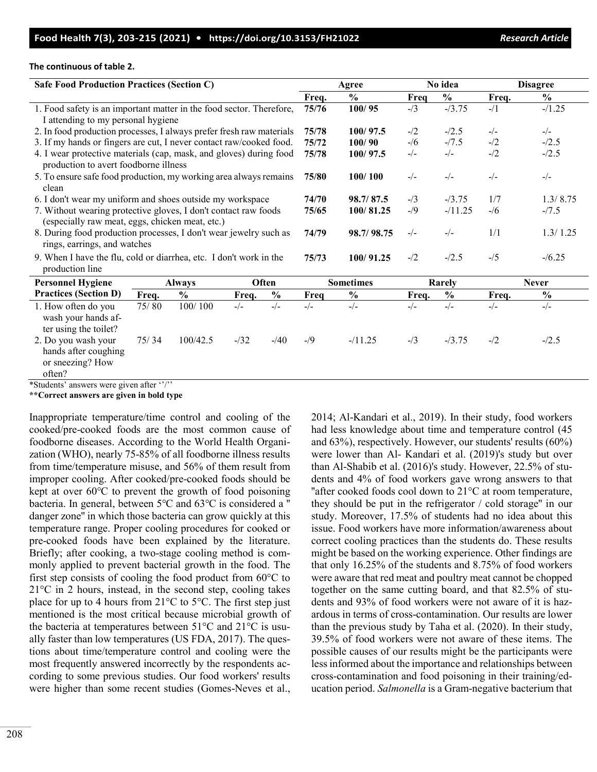#### **The continuous of table 2.**

| <b>Safe Food Production Practices (Section C)</b>                    |       |               |        |               |                  | Agree         |        | No idea       |              | <b>Disagree</b> |
|----------------------------------------------------------------------|-------|---------------|--------|---------------|------------------|---------------|--------|---------------|--------------|-----------------|
|                                                                      |       |               |        |               | Freq.            | $\frac{0}{0}$ | Freq   | $\frac{0}{0}$ | Freq.        | $\frac{6}{6}$   |
| 1. Food safety is an important matter in the food sector. Therefore, |       |               |        |               | 75/76            | 100/95        | $-1/3$ | $-13.75$      | $-1/1$       | $-1.25$         |
| I attending to my personal hygiene                                   |       |               |        |               |                  |               |        |               |              |                 |
| 2. In food production processes, I always prefer fresh raw materials |       |               |        |               | 75/78            | 100/97.5      | $-1/2$ | $-/2.5$       | $-/-$        | $-/-$           |
| 3. If my hands or fingers are cut, I never contact raw/cooked food.  |       |               |        |               | 75/72            | 100/90        | $-1/6$ | $-7.5$        | $-1/2$       | $-/2.5$         |
| 4. I wear protective materials (cap, mask, and gloves) during food   |       |               |        |               | 75/78            | 100/97.5      | $-/-$  | $-/-$         | $-12$        | $-/2.5$         |
| production to avert foodborne illness                                |       |               |        |               |                  |               |        |               |              |                 |
| 5. To ensure safe food production, my working area always remains    |       |               |        |               | 75/80            | 100/100       | $-/-$  | $-/-$         | $-/-$        | $-/-$           |
| clean                                                                |       |               |        |               |                  |               |        |               |              |                 |
| 6. I don't wear my uniform and shoes outside my workspace            |       |               |        |               | 74/70            | 98.7/87.5     | $-1/3$ | $-13.75$      | 1/7          | 1.3/8.75        |
| 7. Without wearing protective gloves, I don't contact raw foods      |       |               |        |               | 75/65            | 100/81.25     | $-1/9$ | $-11.25$      | $-1/6$       | $-7.5$          |
| (especially raw meat, eggs, chicken meat, etc.)                      |       |               |        |               |                  |               |        |               |              |                 |
| 8. During food production processes, I don't wear jewelry such as    |       |               |        |               | 74/79            | 98.7/98.75    | $-/-$  | $-/-$         | 1/1          | 1.3/1.25        |
| rings, earrings, and watches                                         |       |               |        |               |                  |               |        |               |              |                 |
| 9. When I have the flu, cold or diarrhea, etc. I don't work in the   |       |               |        |               | 75/73            | 100/91.25     | $-1/2$ | $-12.5$       | $-1/5$       | $-16.25$        |
| production line                                                      |       |               |        |               |                  |               |        |               |              |                 |
| <b>Personnel Hygiene</b>                                             |       | <b>Always</b> |        | Often         | <b>Sometimes</b> |               | Rarely |               | <b>Never</b> |                 |
| <b>Practices (Section D)</b>                                         | Freq. | $\frac{0}{0}$ | Freq.  | $\frac{0}{0}$ | Freq             | $\frac{0}{0}$ | Freq.  | $\frac{0}{0}$ | Freq.        | $\frac{6}{6}$   |
| 1. How often do you                                                  | 75/80 | 100/100       | $-/-$  | $-/-$         | $-/-$            | $-/-$         | $-/-$  | $-/-$         | $-/-$        | $-/-$           |
| wash your hands af-                                                  |       |               |        |               |                  |               |        |               |              |                 |
| ter using the toilet?                                                |       |               |        |               |                  |               |        |               |              |                 |
| 2. Do you wash your                                                  | 75/34 | 100/42.5      | $-132$ | $-40$         | $-9$             | $-11.25$      | $-1/3$ | $-13.75$      | $-1/2$       | $-12.5$         |
| hands after coughing                                                 |       |               |        |               |                  |               |        |               |              |                 |
| or sneezing? How                                                     |       |               |        |               |                  |               |        |               |              |                 |
| often?                                                               |       |               |        |               |                  |               |        |               |              |                 |

\*Students' answers were given after ''/''

**\*\*Correct answers are given in bold type**

Inappropriate temperature/time control and cooling of the cooked/pre-cooked foods are the most common cause of foodborne diseases. According to the World Health Organization (WHO), nearly 75-85% of all foodborne illness results from time/temperature misuse, and 56% of them result from improper cooling. After cooked/pre-cooked foods should be kept at over 60℃ to prevent the growth of food poisoning bacteria. In general, between 5℃ and 63℃ is considered a '' danger zone'' in which those bacteria can grow quickly at this temperature range. Proper cooling procedures for cooked or pre-cooked foods have been explained by the literature. Briefly; after cooking, a two-stage cooling method is commonly applied to prevent bacterial growth in the food. The first step consists of cooling the food product from 60°C to 21°C in 2 hours, instead, in the second step, cooling takes place for up to 4 hours from 21°C to 5°C. The first step just mentioned is the most critical because microbial growth of the bacteria at temperatures between 51°C and 21°C is usually faster than low temperatures (US FDA, 2017). The questions about time/temperature control and cooling were the most frequently answered incorrectly by the respondents according to some previous studies. Our food workers' results were higher than some recent studies (Gomes-Neves et al., 2014; Al-Kandari et al., 2019). In their study, food workers had less knowledge about time and temperature control (45 and 63%), respectively. However, our students' results (60%) were lower than Al- Kandari et al. (2019)'s study but over than Al-Shabib et al. (2016)'s study. However, 22.5% of students and 4% of food workers gave wrong answers to that "after cooked foods cool down to  $21^{\circ}$ C at room temperature, they should be put in the refrigerator / cold storage'' in our study. Moreover, 17.5% of students had no idea about this issue. Food workers have more information/awareness about correct cooling practices than the students do. These results might be based on the working experience. Other findings are that only 16.25% of the students and 8.75% of food workers were aware that red meat and poultry meat cannot be chopped together on the same cutting board, and that 82.5% of students and 93% of food workers were not aware of it is hazardous in terms of cross-contamination. Our results are lower than the previous study by Taha et al. (2020). In their study, 39.5% of food workers were not aware of these items. The possible causes of our results might be the participants were less informed about the importance and relationships between cross-contamination and food poisoning in their training/education period. *Salmonella* is a Gram-negative bacterium that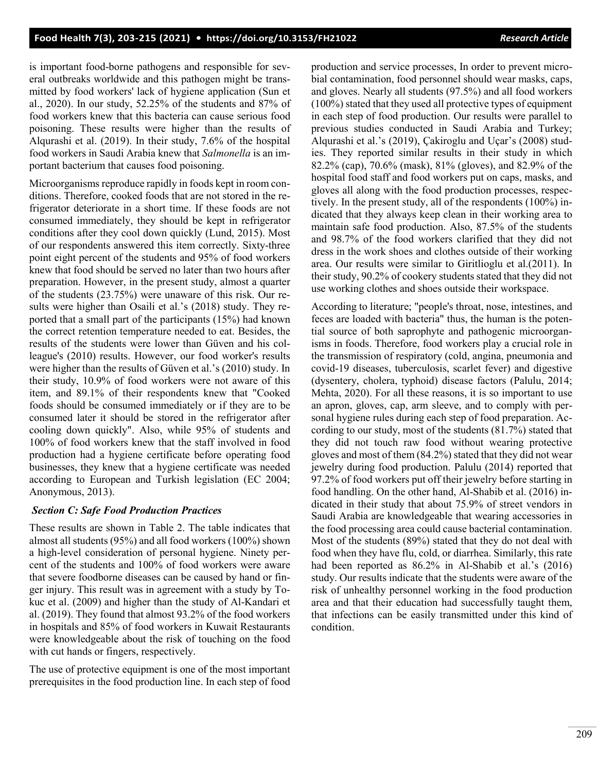is important food-borne pathogens and responsible for several outbreaks worldwide and this pathogen might be transmitted by food workers' lack of hygiene application (Sun et al., 2020). In our study, 52.25% of the students and 87% of food workers knew that this bacteria can cause serious food poisoning. These results were higher than the results of Alqurashi et al. (2019). In their study, 7.6% of the hospital food workers in Saudi Arabia knew that *Salmonella* is an important bacterium that causes food poisoning.

Microorganisms reproduce rapidly in foods kept in room conditions. Therefore, cooked foods that are not stored in the refrigerator deteriorate in a short time. If these foods are not consumed immediately, they should be kept in refrigerator conditions after they cool down quickly (Lund, 2015). Most of our respondents answered this item correctly. Sixty-three point eight percent of the students and 95% of food workers knew that food should be served no later than two hours after preparation. However, in the present study, almost a quarter of the students (23.75%) were unaware of this risk. Our results were higher than Osaili et al.'s (2018) study. They reported that a small part of the participants (15%) had known the correct retention temperature needed to eat. Besides, the results of the students were lower than Güven and his colleague's (2010) results. However, our food worker's results were higher than the results of Güven et al.'s (2010) study. In their study, 10.9% of food workers were not aware of this item, and 89.1% of their respondents knew that "Cooked foods should be consumed immediately or if they are to be consumed later it should be stored in the refrigerator after cooling down quickly". Also, while 95% of students and 100% of food workers knew that the staff involved in food production had a hygiene certificate before operating food businesses, they knew that a hygiene certificate was needed according to European and Turkish legislation (EC 2004; Anonymous, 2013).

### *Section C: Safe Food Production Practices*

These results are shown in Table 2. The table indicates that almost all students (95%) and all food workers (100%) shown a high-level consideration of personal hygiene. Ninety percent of the students and 100% of food workers were aware that severe foodborne diseases can be caused by hand or finger injury. This result was in agreement with a study by Tokuc et al. (2009) and higher than the study of Al-Kandari et al. (2019). They found that almost 93.2% of the food workers in hospitals and 85% of food workers in Kuwait Restaurants were knowledgeable about the risk of touching on the food with cut hands or fingers, respectively.

The use of protective equipment is one of the most important prerequisites in the food production line. In each step of food production and service processes, In order to prevent microbial contamination, food personnel should wear masks, caps, and gloves. Nearly all students (97.5%) and all food workers (100%) stated that they used all protective types of equipment in each step of food production. Our results were parallel to previous studies conducted in Saudi Arabia and Turkey; Alqurashi et al.'s (2019), Çakiroglu and Uçar's (2008) studies. They reported similar results in their study in which 82.2% (cap), 70.6% (mask), 81% (gloves), and 82.9% of the hospital food staff and food workers put on caps, masks, and gloves all along with the food production processes, respectively. In the present study, all of the respondents (100%) indicated that they always keep clean in their working area to maintain safe food production. Also, 87.5% of the students and 98.7% of the food workers clarified that they did not dress in the work shoes and clothes outside of their working area. Our results were similar to Giritlioglu et al.(2011). In their study, 90.2% of cookery students stated that they did not use working clothes and shoes outside their workspace.

According to literature; "people's throat, nose, intestines, and feces are loaded with bacteria" thus, the human is the potential source of both saprophyte and pathogenic microorganisms in foods. Therefore, food workers play a crucial role in the transmission of respiratory (cold, angina, pneumonia and covid-19 diseases, tuberculosis, scarlet fever) and digestive (dysentery, cholera, typhoid) disease factors (Palulu, 2014; Mehta, 2020). For all these reasons, it is so important to use an apron, gloves, cap, arm sleeve, and to comply with personal hygiene rules during each step of food preparation. According to our study, most of the students (81.7%) stated that they did not touch raw food without wearing protective gloves and most of them (84.2%) stated that they did not wear jewelry during food production. Palulu (2014) reported that 97.2% of food workers put off their jewelry before starting in food handling. On the other hand, Al-Shabib et al. (2016) indicated in their study that about 75.9% of street vendors in Saudi Arabia are knowledgeable that wearing accessories in the food processing area could cause bacterial contamination. Most of the students (89%) stated that they do not deal with food when they have flu, cold, or diarrhea. Similarly, this rate had been reported as 86.2% in Al-Shabib et al.'s (2016) study. Our results indicate that the students were aware of the risk of unhealthy personnel working in the food production area and that their education had successfully taught them, that infections can be easily transmitted under this kind of condition.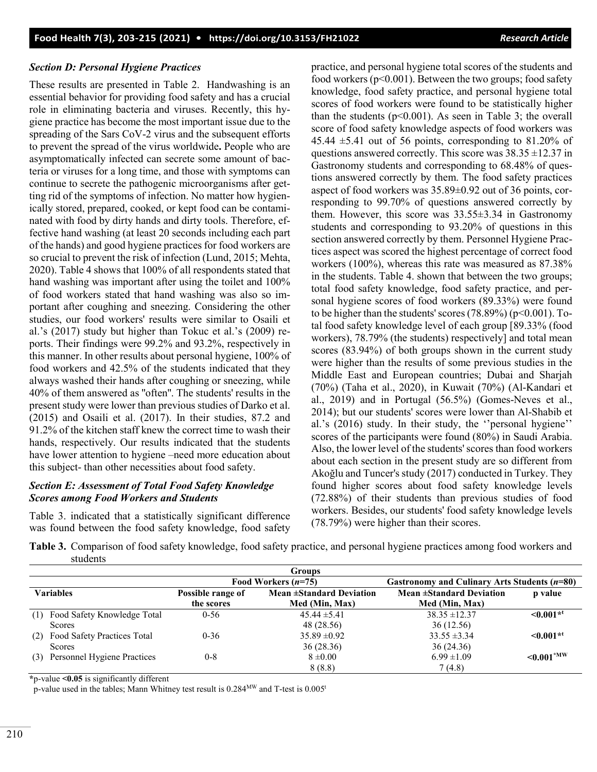### *Section D: Personal Hygiene Practices*

These results are presented in Table 2. Handwashing is an essential behavior for providing food safety and has a crucial role in eliminating bacteria and viruses. Recently, this hygiene practice has become the most important issue due to the spreading of the Sars CoV-2 virus and the subsequent efforts to prevent the spread of the virus worldwide**.** People who are asymptomatically infected can secrete some amount of bacteria or viruses for a long time, and those with symptoms can continue to secrete the pathogenic microorganisms after getting rid of the symptoms of infection. No matter how hygienically stored, prepared, cooked, or kept food can be contaminated with food by dirty hands and dirty tools. Therefore, effective hand washing (at least 20 seconds including each part of the hands) and good hygiene practices for food workers are so crucial to prevent the risk of infection (Lund, 2015; Mehta, 2020). Table 4 shows that 100% of all respondents stated that hand washing was important after using the toilet and 100% of food workers stated that hand washing was also so important after coughing and sneezing. Considering the other studies, our food workers' results were similar to Osaili et al.'s (2017) study but higher than Tokuc et al.'s (2009) reports. Their findings were 99.2% and 93.2%, respectively in this manner. In other results about personal hygiene, 100% of food workers and 42.5% of the students indicated that they always washed their hands after coughing or sneezing, while 40% of them answered as ''often''. The students' results in the present study were lower than previous studies of Darko et al. (2015) and Osaili et al. (2017). In their studies, 87.2 and 91.2% of the kitchen staff knew the correct time to wash their hands, respectively. Our results indicated that the students have lower attention to hygiene –need more education about this subject- than other necessities about food safety.

# *Section E: Assessment of Total Food Safety Knowledge Scores among Food Workers and Students*

Table 3. indicated that a statistically significant difference was found between the food safety knowledge, food safety practice, and personal hygiene total scores of the students and food workers ( $p<0.001$ ). Between the two groups; food safety knowledge, food safety practice, and personal hygiene total scores of food workers were found to be statistically higher than the students ( $p<0.001$ ). As seen in Table 3; the overall score of food safety knowledge aspects of food workers was 45.44  $\pm$ 5.41 out of 56 points, corresponding to 81.20% of questions answered correctly. This score was  $38.35 \pm 12.37$  in Gastronomy students and corresponding to 68.48% of questions answered correctly by them. The food safety practices aspect of food workers was 35.89±0.92 out of 36 points, corresponding to 99.70% of questions answered correctly by them. However, this score was 33.55±3.34 in Gastronomy students and corresponding to 93.20% of questions in this section answered correctly by them. Personnel Hygiene Practices aspect was scored the highest percentage of correct food workers (100%), whereas this rate was measured as 87.38% in the students. Table 4. shown that between the two groups; total food safety knowledge, food safety practice, and personal hygiene scores of food workers (89.33%) were found to be higher than the students' scores  $(78.89\%)$  (p<0.001). Total food safety knowledge level of each group [89.33% (food workers), 78.79% (the students) respectively] and total mean scores (83.94%) of both groups shown in the current study were higher than the results of some previous studies in the Middle East and European countries; Dubai and Sharjah (70%) (Taha et al., 2020), in Kuwait (70%) (Al-Kandari et al., 2019) and in Portugal (56.5%) (Gomes-Neves et al., 2014); but our students' scores were lower than Al-Shabib et al.'s (2016) study. In their study, the ''personal hygiene'' scores of the participants were found (80%) in Saudi Arabia. Also, the lower level of the students' scores than food workers about each section in the present study are so different from Akoğlu and Tuncer's study (2017) conducted in Turkey. They found higher scores about food safety knowledge levels (72.88%) of their students than previous studies of food workers. Besides, our students' food safety knowledge levels (78.79%) were higher than their scores.

**Table 3.** Comparison of food safety knowledge, food safety practice, and personal hygiene practices among food workers and students

|                                                                       |                   | <b>Groups</b>            |                          |                |  |  |
|-----------------------------------------------------------------------|-------------------|--------------------------|--------------------------|----------------|--|--|
| Gastronomy and Culinary Arts Students (n=80)<br>Food Workers $(n=75)$ |                   |                          |                          |                |  |  |
| Variables                                                             | Possible range of | Mean ±Standard Deviation | Mean ±Standard Deviation | p value        |  |  |
|                                                                       | the scores        | Med (Min, Max)           | Med (Min, Max)           |                |  |  |
| Food Safety Knowledge Total<br>(1)                                    | $0 - 56$          | $45.44 \pm 5.41$         | $38.35 \pm 12.37$        | $\leq 0.001**$ |  |  |
| Scores                                                                |                   | 48 (28.56)               | 36(12.56)                |                |  |  |
| Food Safety Practices Total<br>(2)                                    | $0 - 36$          | $35.89 \pm 0.92$         | $33.55 \pm 3.34$         | $\leq 0.001**$ |  |  |
| Scores                                                                |                   | 36 (28.36)               | 36 (24.36)               |                |  |  |
| Personnel Hygiene Practices<br>(3)                                    | $0 - 8$           | $8 \pm 0.00$             | $6.99 \pm 1.09$          | $< 0.001$ *MW  |  |  |
|                                                                       |                   | 8(8.8)                   | 7(4.8)                   |                |  |  |

**\***p-value **<0.05** is significantly different

p-value used in the tables; Mann Whitney test result is 0.284MW and T-test is 0.005t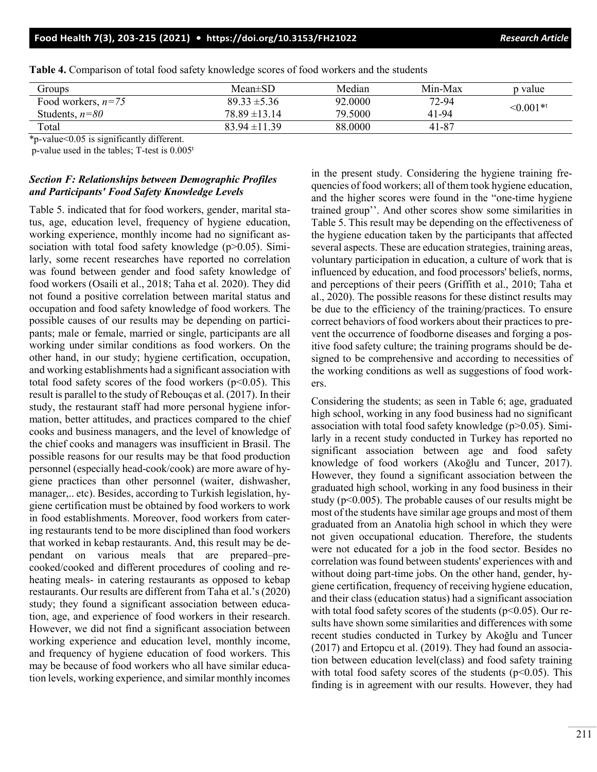| Groups                          | $Mean \pm SD$     | Median  | Min-Max | p value        |  |
|---------------------------------|-------------------|---------|---------|----------------|--|
| Food workers, $n=75$            | $89.33 \pm 5.36$  | 92.0000 | 72-94   | $\leq 0.001**$ |  |
| Students, $n=80$                | $78.89 \pm 13.14$ | 79.5000 | 41-94   |                |  |
| Total                           | $83.94 \pm 11.39$ | 88,0000 | 41-87   |                |  |
| $\sim$ $\sim$<br>.<br>- - - - - |                   |         |         |                |  |

**Table 4.** Comparison of total food safety knowledge scores of food workers and the students

\*p-value<0.05 is significantly different.

p-value used in the tables; T-test is 0.005t

# *Section F: Relationships between Demographic Profiles and Participants' Food Safety Knowledge Levels*

Table 5. indicated that for food workers, gender, marital status, age, education level, frequency of hygiene education, working experience, monthly income had no significant association with total food safety knowledge (p>0.05). Similarly, some recent researches have reported no correlation was found between gender and food safety knowledge of food workers (Osaili et al., 2018; Taha et al. 2020). They did not found a positive correlation between marital status and occupation and food safety knowledge of food workers. The possible causes of our results may be depending on participants; male or female, married or single, participants are all working under similar conditions as food workers. On the other hand, in our study; hygiene certification, occupation, and working establishments had a significant association with total food safety scores of the food workers ( $p<0.05$ ). This result is parallel to the study of Rebouças et al. (2017). In their study, the restaurant staff had more personal hygiene information, better attitudes, and practices compared to the chief cooks and business managers, and the level of knowledge of the chief cooks and managers was insufficient in Brasil. The possible reasons for our results may be that food production personnel (especially head-cook/cook) are more aware of hygiene practices than other personnel (waiter, dishwasher, manager,.. etc). Besides, according to Turkish legislation, hygiene certification must be obtained by food workers to work in food establishments. Moreover, food workers from catering restaurants tend to be more disciplined than food workers that worked in kebap restaurants. And, this result may be dependant on various meals that are prepared–precooked/cooked and different procedures of cooling and reheating meals- in catering restaurants as opposed to kebap restaurants. Our results are different from Taha et al.'s (2020) study; they found a significant association between education, age, and experience of food workers in their research. However, we did not find a significant association between working experience and education level, monthly income, and frequency of hygiene education of food workers. This may be because of food workers who all have similar education levels, working experience, and similar monthly incomes

in the present study. Considering the hygiene training frequencies of food workers; all of them took hygiene education, and the higher scores were found in the "one-time hygiene trained group''. And other scores show some similarities in Table 5. This result may be depending on the effectiveness of the hygiene education taken by the participants that affected several aspects. These are education strategies, training areas, voluntary participation in education, a culture of work that is influenced by education, and food processors' beliefs, norms, and perceptions of their peers (Griffith et al., 2010; Taha et al., 2020). The possible reasons for these distinct results may be due to the efficiency of the training/practices. To ensure correct behaviors of food workers about their practices to prevent the occurrence of foodborne diseases and forging a positive food safety culture; the training programs should be designed to be comprehensive and according to necessities of the working conditions as well as suggestions of food workers.

Considering the students; as seen in Table 6; age, graduated high school, working in any food business had no significant association with total food safety knowledge ( $p$  $>$ 0.05). Similarly in a recent study conducted in Turkey has reported no significant association between age and food safety knowledge of food workers (Akoğlu and Tuncer, 2017). However, they found a significant association between the graduated high school, working in any food business in their study ( $p<0.005$ ). The probable causes of our results might be most of the students have similar age groups and most of them graduated from an Anatolia high school in which they were not given occupational education. Therefore, the students were not educated for a job in the food sector. Besides no correlation was found between students' experiences with and without doing part-time jobs. On the other hand, gender, hygiene certification, frequency of receiving hygiene education, and their class (education status) had a significant association with total food safety scores of the students ( $p$ <0.05). Our results have shown some similarities and differences with some recent studies conducted in Turkey by Akoğlu and Tuncer (2017) and Ertopcu et al. (2019). They had found an association between education level(class) and food safety training with total food safety scores of the students ( $p<0.05$ ). This finding is in agreement with our results. However, they had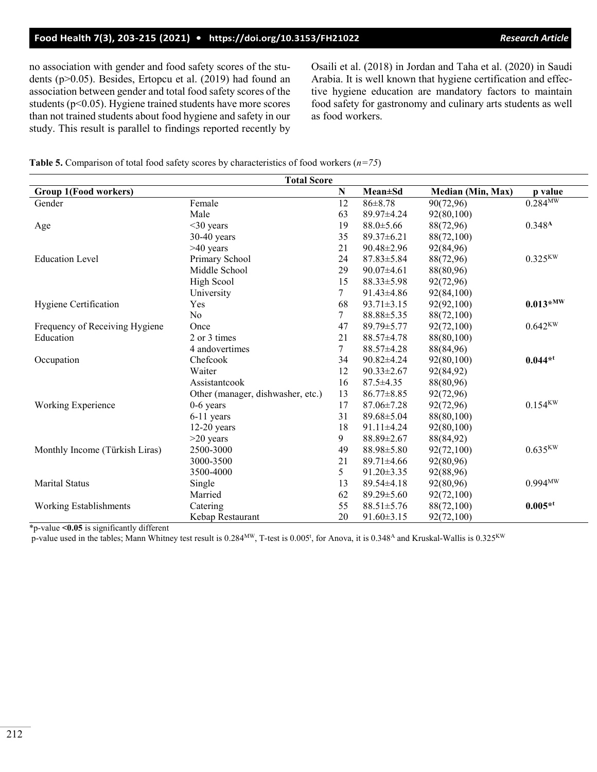# **Food Health 7(3), 203-215 (2021) • <https://doi.org/10.3153/FH21022>** *Research Article*

no association with gender and food safety scores of the students (p>0.05). Besides, Ertopcu et al. (2019) had found an association between gender and total food safety scores of the students (p<0.05). Hygiene trained students have more scores than not trained students about food hygiene and safety in our study. This result is parallel to findings reported recently by Osaili et al. (2018) in Jordan and Taha et al. (2020) in Saudi Arabia. It is well known that hygiene certification and effective hygiene education are mandatory factors to maintain food safety for gastronomy and culinary arts students as well as food workers.

**Table 5.** Comparison of total food safety scores by characteristics of food workers (*n=75*)

| <b>Total Score</b>             |                                   |                |                  |                   |                        |  |
|--------------------------------|-----------------------------------|----------------|------------------|-------------------|------------------------|--|
| Group 1(Food workers)          |                                   | N              | <b>Mean</b> ±Sd  | Median (Min, Max) | p value                |  |
| Gender                         | Female                            | 12             | $86 \pm 8.78$    | 90(72,96)         | $0.284^{\text{MW}}$    |  |
|                                | Male                              | 63             | 89.97±4.24       | 92(80,100)        |                        |  |
| Age                            | $<$ 30 years                      | 19             | $88.0 \pm 5.66$  | 88(72,96)         | 0.348 <sup>A</sup>     |  |
|                                | $30-40$ years                     | 35             | $89.37 \pm 6.21$ | 88(72,100)        |                        |  |
|                                | >40 years                         | 21             | 90.48±2.96       | 92(84,96)         |                        |  |
| <b>Education Level</b>         | Primary School                    | 24             | $87.83 \pm 5.84$ | 88(72,96)         | $0.325$ <sup>KW</sup>  |  |
|                                | Middle School                     | 29             | $90.07 \pm 4.61$ | 88(80,96)         |                        |  |
|                                | High Scool                        | 15             | $88.33 \pm 5.98$ | 92(72,96)         |                        |  |
|                                | University                        | 7              | 91.43±4.86       | 92(84,100)        |                        |  |
| Hygiene Certification          | Yes                               | 68             | $93.71 \pm 3.15$ | 92(92,100)        | $0.013*$ <sub>MW</sub> |  |
|                                | No                                | $\overline{7}$ | 88.88±5.35       | 88(72,100)        |                        |  |
| Frequency of Receiving Hygiene | Once                              | 47             | 89.79±5.77       | 92(72,100)        | $0.642$ <sup>KW</sup>  |  |
| Education                      | 2 or 3 times                      | 21             | 88.57±4.78       | 88(80,100)        |                        |  |
|                                | 4 andovertimes                    | $\overline{7}$ | 88.57±4.28       | 88(84,96)         |                        |  |
| Occupation                     | Chefcook                          | 34             | $90.82 \pm 4.24$ | 92(80,100)        | $0.044**$              |  |
|                                | Waiter                            | 12             | $90.33 \pm 2.67$ | 92(84,92)         |                        |  |
|                                | Assistantcook                     | 16             | $87.5 \pm 4.35$  | 88(80,96)         |                        |  |
|                                | Other (manager, dishwasher, etc.) | 13             | $86.77 \pm 8.85$ | 92(72,96)         |                        |  |
| Working Experience             | $0-6$ years                       | 17             | 87.06±7.28       | 92(72,96)         | $0.154$ <sup>KW</sup>  |  |
|                                | 6-11 years                        | 31             | 89.68±5.04       | 88(80,100)        |                        |  |
|                                | $12-20$ years                     | 18             | 91.11±4.24       | 92(80,100)        |                        |  |
|                                | $>20$ years                       | 9              | 88.89±2.67       | 88(84,92)         |                        |  |
| Monthly Income (Türkish Liras) | 2500-3000                         | 49             | 88.98±5.80       | 92(72,100)        | $0.635$ <sup>KW</sup>  |  |
|                                | 3000-3500                         | 21             | $89.71 \pm 4.66$ | 92(80,96)         |                        |  |
|                                | 3500-4000                         | 5              | 91.20±3.35       | 92(88,96)         |                        |  |
| <b>Marital Status</b>          | Single                            | 13             | $89.54 \pm 4.18$ | 92(80,96)         | $0.994^{\text{MW}}$    |  |
|                                | Married                           | 62             | $89.29 \pm 5.60$ | 92(72,100)        |                        |  |
| <b>Working Establishments</b>  | Catering                          | 55             | 88.51±5.76       | 88(72,100)        | $0.005**$              |  |
|                                | Kebap Restaurant                  | 20             | $91.60 \pm 3.15$ | 92(72,100)        |                        |  |

\*p-value **<0.05** is significantly different

p-value used in the tables; Mann Whitney test result is  $0.284^{\text{MW}}$ , T-test is  $0.005^{\text{t}}$ , for Anova, it is  $0.348^{\text{A}}$  and Kruskal-Wallis is  $0.325^{\text{KW}}$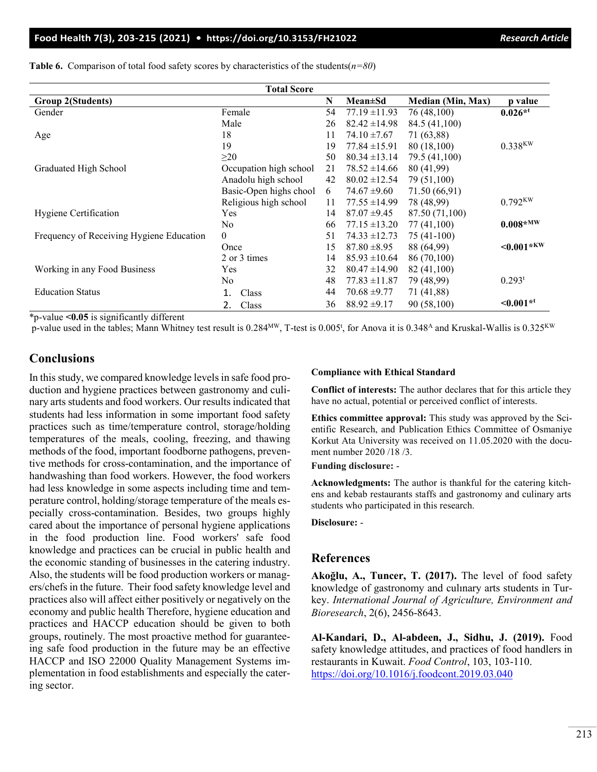# **Food Health 7(3), 203-215 (2021) • <https://doi.org/10.3153/FH21022>***Research Article*

| <b>Total Score</b>                       |                        |    |                   |                          |                           |  |  |
|------------------------------------------|------------------------|----|-------------------|--------------------------|---------------------------|--|--|
| <b>Group 2(Students)</b>                 |                        | N  | $Mean \pm Sd$     | <b>Median (Min, Max)</b> | p value                   |  |  |
| Gender                                   | Female                 | 54 | $77.19 \pm 11.93$ | 76 (48,100)              | $0.026**$                 |  |  |
|                                          | Male                   | 26 | $82.42 \pm 14.98$ | 84.5 (41,100)            |                           |  |  |
| Age                                      | 18                     | 11 | $74.10 \pm 7.67$  | 71 (63,88)               |                           |  |  |
|                                          | 19                     | 19 | $77.84 \pm 15.91$ | 80 (18,100)              | $0.338$ <sup>KW</sup>     |  |  |
|                                          | $\geq$ 20              | 50 | $80.34 \pm 13.14$ | 79.5 (41,100)            |                           |  |  |
| Graduated High School                    | Occupation high school | 21 | $78.52 \pm 14.66$ | 80 (41,99)               |                           |  |  |
|                                          | Anadolu high school    | 42 | $80.02 \pm 12.54$ | 79 (51,100)              |                           |  |  |
|                                          | Basic-Open highs chool | 6  | $74.67 \pm 9.60$  | 71.50 (66,91)            |                           |  |  |
|                                          | Religious high school  | 11 | $77.55 \pm 14.99$ | 78 (48,99)               | $0.792$ <sup>KW</sup>     |  |  |
| Hygiene Certification                    | <b>Yes</b>             | 14 | $87.07 \pm 9.45$  | 87.50 (71,100)           |                           |  |  |
|                                          | N <sub>0</sub>         | 66 | $77.15 \pm 13.20$ | 77 (41,100)              | $0.008*^{MW}$             |  |  |
| Frequency of Receiving Hygiene Education | $\theta$               | 51 | $74.33 \pm 12.73$ | $75(41-100)$             |                           |  |  |
|                                          | Once                   | 15 | $87.80 \pm 8.95$  | 88 (64,99)               | $< 0.001$ * <sup>KW</sup> |  |  |
|                                          | 2 or 3 times           | 14 | $85.93 \pm 10.64$ | 86 (70,100)              |                           |  |  |
| Working in any Food Business             | Yes                    | 32 | $80.47 \pm 14.90$ | 82 (41,100)              |                           |  |  |
|                                          | No                     | 48 | $77.83 \pm 11.87$ | 79 (48,99)               | $0.293^t$                 |  |  |
| <b>Education Status</b>                  | Class                  | 44 | $70.68 \pm 9.77$  | 71 (41,88)               |                           |  |  |
|                                          | Class<br>2.            | 36 | $88.92 \pm 9.17$  | 90 (58,100)              | $\leq 0.001**$            |  |  |

**Table 6.** Comparison of total food safety scores by characteristics of the students( $n=80$ )

\*p-value **<0.05** is significantly different

p-value used in the tables; Mann Whitney test result is  $0.284^{MW}$ , T-test is  $0.005^t$ , for Anova it is  $0.348^A$  and Kruskal-Wallis is  $0.325^{KW}$ 

# **Conclusions**

In this study, we compared knowledge levels in safe food production and hygiene practices between gastronomy and culinary arts students and food workers. Our results indicated that students had less information in some important food safety practices such as time/temperature control, storage/holding temperatures of the meals, cooling, freezing, and thawing methods of the food, important foodborne pathogens, preventive methods for cross-contamination, and the importance of handwashing than food workers. However, the food workers had less knowledge in some aspects including time and temperature control, holding/storage temperature of the meals especially cross-contamination. Besides, two groups highly cared about the importance of personal hygiene applications in the food production line. Food workers' safe food knowledge and practices can be crucial in public health and the economic standing of businesses in the catering industry. Also, the students will be food production workers or managers/chefs in the future. Their food safety knowledge level and practices also will affect either positively or negatively on the economy and public health Therefore, hygiene education and practices and HACCP education should be given to both groups, routinely. The most proactive method for guaranteeing safe food production in the future may be an effective HACCP and ISO 22000 Quality Management Systems implementation in food establishments and especially the catering sector.

#### **Compliance with Ethical Standard**

**Conflict of interests:** The author declares that for this article they have no actual, potential or perceived conflict of interests.

**Ethics committee approval:** This study was approved by the Scientific Research, and Publication Ethics Committee of Osmaniye Korkut Ata University was received on 11.05.2020 with the document number 2020 /18 /3.

**Funding disclosure:** -

**Acknowledgments:** The author is thankful for the catering kitchens and kebab restaurants staffs and gastronomy and culinary arts students who participated in this research.

#### **Disclosure:** -

### **References**

**Akoğlu, A., Tuncer, T. (2017).** The level of food safety knowledge of gastronomy and culınary arts students in Turkey. *International Journal of Agriculture, Environment and Bioresearch*, 2(6), 2456-8643.

**Al-Kandari, D., Al-abdeen, J., Sidhu, J. (2019).** Food safety knowledge attitudes, and practices of food handlers in restaurants in Kuwait. *Food Control*, 103, 103-110. <https://doi.org/10.1016/j.foodcont.2019.03.040>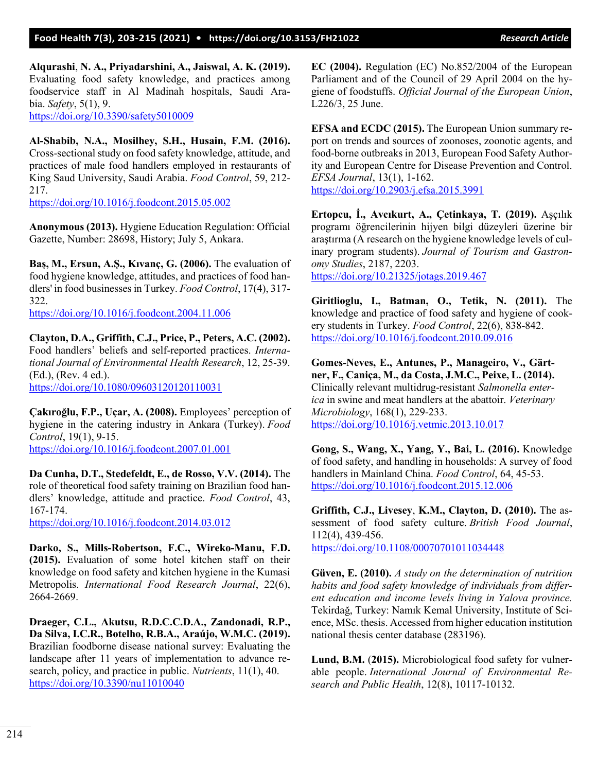**Alqurashi**, **N. A., Priyadarshini, A., Jaiswal, A. K. (2019).** Evaluating food safety knowledge, and practices among foodservice staff in Al Madinah hospitals, Saudi Arabia. *Safety*, 5(1), 9. <https://doi.org/10.3390/safety5010009>

**Al-Shabib, N.A., Mosilhey, S.H., Husain, F.M. (2016).** Cross-sectional study on food safety knowledge, attitude, and practices of male food handlers employed in restaurants of King Saud University, Saudi Arabia. *Food Control*, 59, 212- 217.

https:/[/doi.org/10.1016/j.foodcont.2015.05.002](https://doi.org/10.1016/j.foodcont.2015.05.002)

**Anonymous (2013).** Hygiene Education Regulation: Official Gazette, Number: 28698, History; July 5, Ankara.

**Baş, M., Ersun, A.Ş., Kıvanç, G. (2006).** The evaluation of food hygiene knowledge, attitudes, and practices of food handlers' in food businesses in Turkey. *Food Control*, 17(4), 317- 322.

<https://doi.org/10.1016/j.foodcont.2004.11.006>

**Clayton, D.A., Griffith, C.J., Price, P., Peters, A.C. (2002).** Food handlers' beliefs and self-reported practices. *International Journal of Environmental Health Research*, 12, 25-39. (Ed.), (Rev. 4 ed.). <https://doi.org/10.1080/09603120120110031>

**Çakıroğlu, F.P., Uçar, A. (2008).** Employees' perception of hygiene in the catering industry in Ankara (Turkey). *Food Control*, 19(1), 9-15. <https://doi.org/10.1016/j.foodcont.2007.01.001>

**Da Cunha, D.T., Stedefeldt, E., de Rosso, V.V. (2014).** The role of theoretical food safety training on Brazilian food handlers' knowledge, attitude and practice. *Food Control*, 43, 167-174.

<https://doi.org/10.1016/j.foodcont.2014.03.012>

**Darko, S., Mills-Robertson, F.C., Wireko-Manu, F.D. (2015).** Evaluation of some hotel kitchen staff on their knowledge on food safety and kitchen hygiene in the Kumasi Metropolis. *International Food Research Journal*, 22(6), 2664-2669.

**Draeger, C.L., Akutsu, R.D.C.C.D.A., Zandonadi, R.P., Da Silva, I.C.R., Botelho, R.B.A., Araújo, W.M.C. (2019).** Brazilian foodborne disease national survey: Evaluating the landscape after 11 years of implementation to advance research, policy, and practice in public. *Nutrients*, 11(1), 40. <https://doi.org/10.3390/nu11010040>

**EC (2004).** Regulation (EC) No.852/2004 of the European Parliament and of the Council of 29 April 2004 on the hygiene of foodstuffs. *Official Journal of the European Union*, L226/3, 25 June.

**EFSA and ECDC (2015).** The European Union summary report on trends and sources of zoonoses, zoonotic agents, and food-borne outbreaks in 2013, European Food Safety Authority and European Centre for Disease Prevention and Control. *EFSA Journal*, 13(1), 1-162. <https://doi.org/10.2903/j.efsa.2015.3991>

**Ertopcu, İ., Avcıkurt, A., Çetinkaya, T. (2019).** Aşçılık programı öğrencilerinin hijyen bilgi düzeyleri üzerine bir araştırma (A research on the hygiene knowledge levels of culinary program students). *Journal of Tourism and Gastronomy Studies*, 2187, 2203. <https://doi.org/10.21325/jotags.2019.467>

**Giritlioglu, I., Batman, O., Tetik, N. (2011).** The knowledge and practice of food safety and hygiene of cookery students in Turkey. *Food Control*, 22(6), 838-842. <https://doi.org/10.1016/j.foodcont.2010.09.016>

**Gomes-Neves, E., Antunes, P., Manageiro, V., Gärtner, F., Caniça, M., da Costa, J.M.C., Peixe, L. (2014).** Clinically relevant multidrug-resistant *Salmonella enterica* in swine and meat handlers at the abattoir. *Veterinary Microbiology*, 168(1), 229-233. <https://doi.org/10.1016/j.vetmic.2013.10.017>

**Gong, S., Wang, X., Yang, Y., Bai, L. (2016).** Knowledge of food safety, and handling in households: A survey of food handlers in Mainland China. *Food Control*, 64, 45-53. <https://doi.org/10.1016/j.foodcont.2015.12.006>

**Griffith, C.J., Livesey**, **K.M., Clayton, D. (2010).** The assessment of food safety culture. *British Food Journal*, 112(4), 439-456.

<https://doi.org/10.1108/00070701011034448>

**Güven, E. (2010).** *A study on the determination of nutrition habits and food safety knowledge of individuals from different education and income levels living in Yalova province.*  Tekirdağ, Turkey: Namık Kemal University, Institute of Science, MSc. thesis. Accessed from higher education institution national thesis center database (283196).

**Lund, B.M.** (**2015).** Microbiological food safety for vulnerable people. *International Journal of Environmental Research and Public Health*, 12(8), 10117-10132.